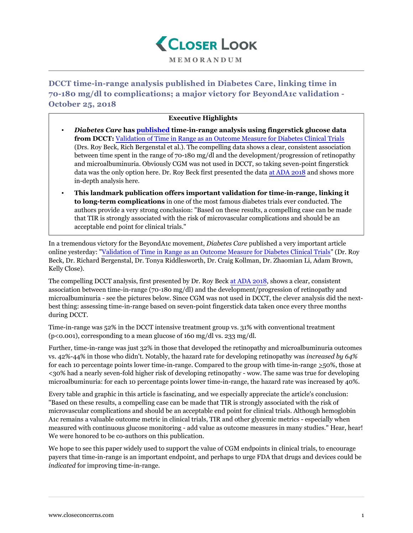

**DCCT time-in-range analysis published in Diabetes Care, linking time in 70-180 mg/dl to complications; a major victory for BeyondA1c validation - October 25, 2018**

## **Executive Highlights**

- *Diabetes Care* **has [published](http://care.diabetesjournals.org/content/early/2018/10/17/dc18-1444) time-in-range analysis using fingerstick glucose data from DCCT:** [Validation of Time in Range as an Outcome Measure for Diabetes Clinical Trials](http://care.diabetesjournals.org/content/early/2018/10/17/dc18-1444) (Drs. Roy Beck, Rich Bergenstal et al.). The compelling data shows a clear, consistent association between time spent in the range of 70-180 mg/dl and the development/progression of retinopathy and microalbuminuria. Obviously CGM was not used in DCCT, so taking seven-point fingerstick data was the only option here. Dr. Roy Beck first presented the data [at ADA 2018](https://www.closeconcerns.com/knowledgebase/r/cf840e76#It_Is_Time_to_Incorporate_Other_Glycemic_Outcomes) and shows more in-depth analysis here.
- **This landmark publication offers important validation for time-in-range, linking it to long-term complications** in one of the most famous diabetes trials ever conducted. The authors provide a very strong conclusion: "Based on these results, a compelling case can be made that TIR is strongly associated with the risk of microvascular complications and should be an acceptable end point for clinical trials."

In a tremendous victory for the BeyondA1c movement, *Diabetes Care* published a very important article online yesterday: ["Validation of Time in Range as an Outcome Measure for Diabetes Clinical Trials](http://care.diabetesjournals.org/content/early/2018/10/17/dc18-1444)" (Dr. Roy Beck, Dr. Richard Bergenstal, Dr. Tonya Riddlesworth, Dr. Craig Kollman, Dr. Zhaomian Li, Adam Brown, Kelly Close).

The compelling DCCT analysis, first presented by Dr. Roy Beck [at ADA 2018,](https://www.closeconcerns.com/knowledgebase/r/cf840e76#It_Is_Time_to_Incorporate_Other_Glycemic_Outcomes) shows a clear, consistent association between time-in-range (70-180 mg/dl) and the development/progression of retinopathy and microalbuminuria - see the pictures below. Since CGM was not used in DCCT, the clever analysis did the nextbest thing: assessing time-in-range based on seven-point fingerstick data taken once every three months during DCCT.

Time-in-range was 52% in the DCCT intensive treatment group vs. 31% with conventional treatment ( $p$ <0.001), corresponding to a mean glucose of 160 mg/dl vs. 233 mg/dl.

Further, time-in-range was just 32% in those that developed the retinopathy and microalbuminuria outcomes vs. 42%-44% in those who didn't. Notably, the hazard rate for developing retinopathy was *increased by 64%* for each 10 percentage points lower time-in-range. Compared to the group with time-in-range  $\geq$ 50%, those at <30% had a nearly seven-fold higher risk of developing retinopathy - wow. The same was true for developing microalbuminuria: for each 10 percentage points lower time-in-range, the hazard rate was increased by 40%.

Every table and graphic in this article is fascinating, and we especially appreciate the article's conclusion: "Based on these results, a compelling case can be made that TIR is strongly associated with the risk of microvascular complications and should be an acceptable end point for clinical trials. Although hemoglobin A1c remains a valuable outcome metric in clinical trials, TIR and other glycemic metrics - especially when measured with continuous glucose monitoring - add value as outcome measures in many studies." Hear, hear! We were honored to be co-authors on this publication.

We hope to see this paper widely used to support the value of CGM endpoints in clinical trials, to encourage payers that time-in-range is an important endpoint, and perhaps to urge FDA that drugs and devices could be *indicated* for improving time-in-range.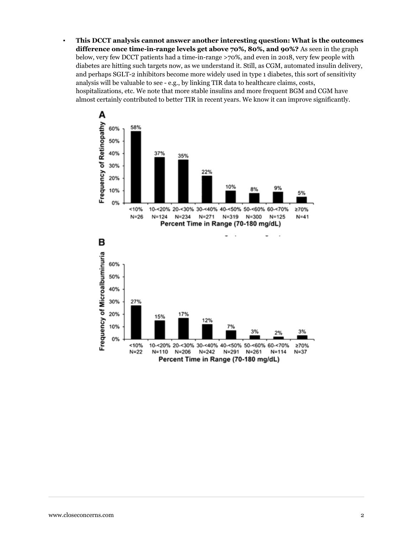▪ **This DCCT analysis cannot answer another interesting question: What is the outcomes difference once time-in-range levels get above 70%, 80%, and 90%?** As seen in the graph below, very few DCCT patients had a time-in-range >70%, and even in 2018, very few people with diabetes are hitting such targets now, as we understand it. Still, as CGM, automated insulin delivery, and perhaps SGLT-2 inhibitors become more widely used in type 1 diabetes, this sort of sensitivity analysis will be valuable to see - e.g., by linking TIR data to healthcare claims, costs, hospitalizations, etc. We note that more stable insulins and more frequent BGM and CGM have almost certainly contributed to better TIR in recent years. We know it can improve significantly.